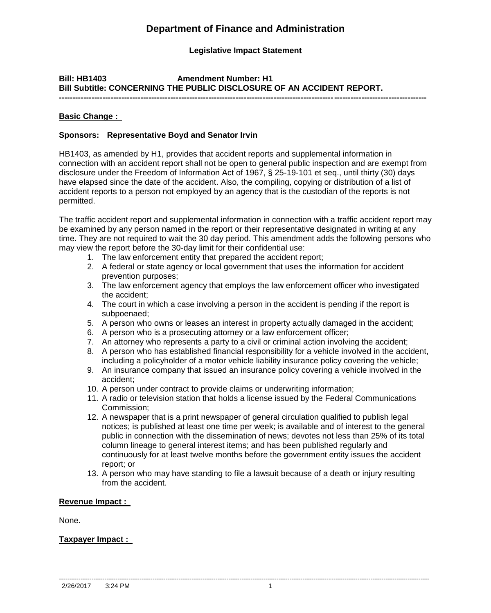# **Department of Finance and Administration**

# **Legislative Impact Statement**

#### **Bill: HB1403 Amendment Number: H1 Bill Subtitle: CONCERNING THE PUBLIC DISCLOSURE OF AN ACCIDENT REPORT. ---------------------------------------------------------------------------------------------------------------------------------------**

**Basic Change :** 

## **Sponsors: Representative Boyd and Senator Irvin**

HB1403, as amended by H1, provides that accident reports and supplemental information in connection with an accident report shall not be open to general public inspection and are exempt from disclosure under the Freedom of Information Act of 1967, § 25-19-101 et seq., until thirty (30) days have elapsed since the date of the accident. Also, the compiling, copying or distribution of a list of accident reports to a person not employed by an agency that is the custodian of the reports is not permitted.

The traffic accident report and supplemental information in connection with a traffic accident report may be examined by any person named in the report or their representative designated in writing at any time. They are not required to wait the 30 day period. This amendment adds the following persons who may view the report before the 30-day limit for their confidential use:

- 1. The law enforcement entity that prepared the accident report;
- 2. A federal or state agency or local government that uses the information for accident prevention purposes;
- 3. The law enforcement agency that employs the law enforcement officer who investigated the accident;
- 4. The court in which a case involving a person in the accident is pending if the report is subpoenaed;
- 5. A person who owns or leases an interest in property actually damaged in the accident;
- 6. A person who is a prosecuting attorney or a law enforcement officer;
- 7. An attorney who represents a party to a civil or criminal action involving the accident;
- 8. A person who has established financial responsibility for a vehicle involved in the accident, including a policyholder of a motor vehicle liability insurance policy covering the vehicle;
- 9. An insurance company that issued an insurance policy covering a vehicle involved in the accident;
- 10. A person under contract to provide claims or underwriting information;
- 11. A radio or television station that holds a license issued by the Federal Communications Commission;
- 12. A newspaper that is a print newspaper of general circulation qualified to publish legal notices; is published at least one time per week; is available and of interest to the general public in connection with the dissemination of news; devotes not less than 25% of its total column lineage to general interest items; and has been published regularly and continuously for at least twelve months before the government entity issues the accident report; or
- 13. A person who may have standing to file a lawsuit because of a death or injury resulting from the accident.

## **Revenue Impact :**

None.

## **Taxpayer Impact :**